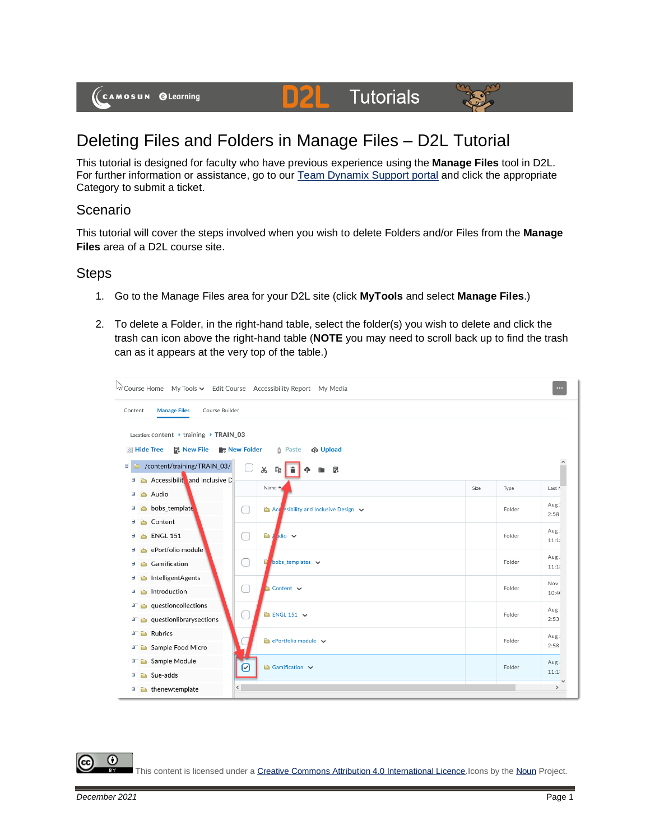(CAMOSUN @Learning

## Deleting Files and Folders in Manage Files – D2L Tutorial

This tutorial is designed for faculty who have previous experience using the **Manage Files** tool in D2L. For further information or assistance, go to our [Team Dynamix Support portal](https://camosun.teamdynamix.com/TDClient/67/Portal/Requests/ServiceCatalog?CategoryID=523) and click the appropriate Category to submit a ticket.

**D2L** Tutorials

## Scenario

This tutorial will cover the steps involved when you wish to delete Folders and/or Files from the **Manage Files** area of a D2L course site.

## **Steps**

- 1. Go to the Manage Files area for your D2L site (click **MyTools** and select **Manage Files**.)
- 2. To delete a Folder, in the right-hand table, select the folder(s) you wish to delete and click the trash can icon above the right-hand table (**NOTE** you may need to scroll back up to find the trash can as it appears at the very top of the table.)



This content is licensed under [a Creative Commons Attribution 4.0 International Licence.I](https://creativecommons.org/licenses/by/4.0/)cons by th[e Noun](https://creativecommons.org/website-icons/) Project.

⋒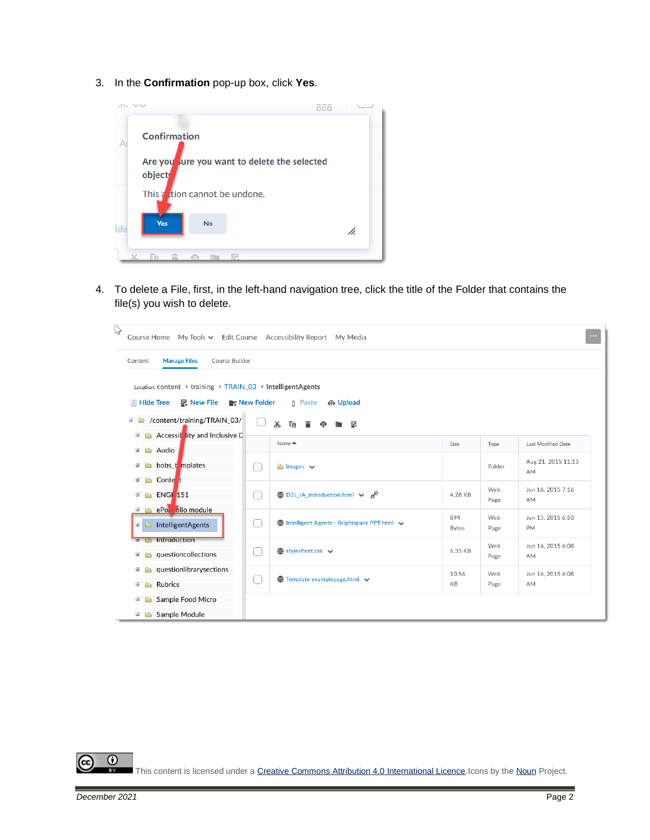3. In the **Confirmation** pop-up box, click **Yes**.



4. To delete a File, first, in the left-hand navigation tree, click the title of the Folder that contains the file(s) you wish to delete.

| $\sqrt{2}$ | Course Home My Tools v Edit Course Accessibility Report My Media                                           |               |                                                   |                     |             |                         |  |  |  |  |  |  |
|------------|------------------------------------------------------------------------------------------------------------|---------------|---------------------------------------------------|---------------------|-------------|-------------------------|--|--|--|--|--|--|
|            | <b>Manage Files</b><br>Course Builder<br>Content                                                           |               |                                                   |                     |             |                         |  |  |  |  |  |  |
|            | Location: content ▶ training ▶ TRAIN_03 ▶ IntelligentAgents                                                |               |                                                   |                     |             |                         |  |  |  |  |  |  |
|            | <b>IN Hide Tree</b><br>昆 New File<br><b>R</b> <sub>c</sub> New Folder<br><b><i>n</i></b> Paste<br>က Upload |               |                                                   |                     |             |                         |  |  |  |  |  |  |
| e,         | /content/training/TRAIN_03/                                                                                |               | $\chi$<br>Ee<br>- 로                               |                     |             |                         |  |  |  |  |  |  |
| È          | Accessit lity and Inclusive D                                                                              |               | Name ▲                                            | Size                | Type        | Last Modified Date      |  |  |  |  |  |  |
| Θ          | Audio                                                                                                      |               |                                                   |                     |             | Aug 21, 2015 11:13      |  |  |  |  |  |  |
| ø          | bobs_t_mplates                                                                                             | ſ.            | $\blacksquare$ images $\vee$                      |                     | Folder      | AM                      |  |  |  |  |  |  |
| 由          | Conte <sub>t</sub>                                                                                         |               |                                                   |                     | Web         | Jun 16, 2015 7:16       |  |  |  |  |  |  |
| Θ          | <b>ENGI 151</b>                                                                                            | L             | <b>A</b> D2L_IA_introduction.html $\vee$ <b>P</b> | 4.28 KB             | Page        | AM                      |  |  |  |  |  |  |
| Đ<br>Φ     | ePol olio module<br>IntelligentAgents                                                                      | $\mathcal{L}$ | Intelligent Agents - Brightspace PPT.html $\sim$  | 894<br><b>Bytes</b> | Web<br>Page | Jun 15, 2015 6:53<br>PM |  |  |  |  |  |  |
|            | <b>Introduction</b>                                                                                        |               |                                                   |                     | Web         | Jun 16, 2015 6:08       |  |  |  |  |  |  |
| Θ          | questioncollections<br>è                                                                                   | L.            | $\bigoplus$ stylesheet.css $\vee$                 | 6.35 KB             | Page        | AM                      |  |  |  |  |  |  |
| Θ          | questionlibrarysections                                                                                    |               | Template examplepage.html v                       | 10.56<br>KB         | Web<br>Page | Jun 16, 2015 6:08<br>AM |  |  |  |  |  |  |
| 圃          | Rubrics                                                                                                    | ſ             |                                                   |                     |             |                         |  |  |  |  |  |  |
| Θ          | Sample Food Micro                                                                                          |               |                                                   |                     |             |                         |  |  |  |  |  |  |
| Θ          | Sample Module                                                                                              |               |                                                   |                     |             |                         |  |  |  |  |  |  |

 $\odot$ 

This content is licensed under [a Creative Commons Attribution 4.0 International Licence.I](https://creativecommons.org/licenses/by/4.0/)cons by th[e Noun](https://creativecommons.org/website-icons/) Project.